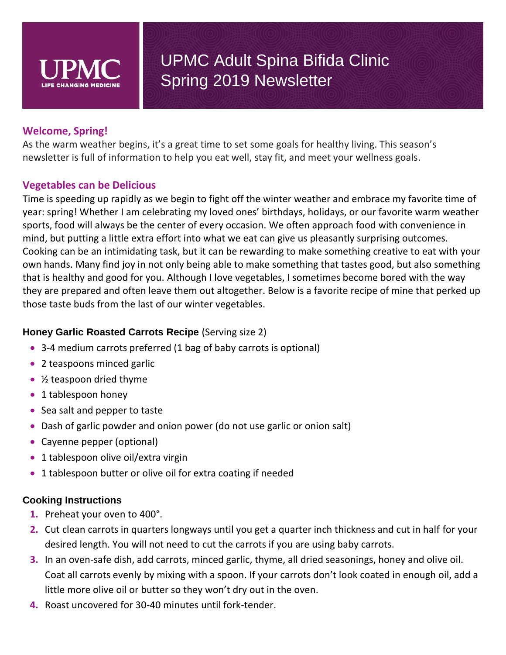

### **Welcome, Spring!**

As the warm weather begins, it's a great time to set some goals for healthy living. This season's newsletter is full of information to help you eat well, stay fit, and meet your wellness goals.

### **Vegetables can be Delicious**

Time is speeding up rapidly as we begin to fight off the winter weather and embrace my favorite time of year: spring! Whether I am celebrating my loved ones' birthdays, holidays, or our favorite warm weather sports, food will always be the center of every occasion. We often approach food with convenience in mind, but putting a little extra effort into what we eat can give us pleasantly surprising outcomes. Cooking can be an intimidating task, but it can be rewarding to make something creative to eat with your own hands. Many find joy in not only being able to make something that tastes good, but also something that is healthy and good for you. Although I love vegetables, I sometimes become bored with the way they are prepared and often leave them out altogether. Below is a favorite recipe of mine that perked up those taste buds from the last of our winter vegetables.

### **Honey Garlic Roasted Carrots Recipe** (Serving size 2)

- 3-4 medium carrots preferred (1 bag of baby carrots is optional)
- 2 teaspoons minced garlic
- $\frac{1}{2}$  teaspoon dried thyme
- 1 tablespoon honey
- Sea salt and pepper to taste
- Dash of garlic powder and onion power (do not use garlic or onion salt)
- Cayenne pepper (optional)
- 1 tablespoon olive oil/extra virgin
- 1 tablespoon butter or olive oil for extra coating if needed

### **Cooking Instructions**

- **1.** Preheat your oven to 400°.
- **2.** Cut clean carrots in quarters longways until you get a quarter inch thickness and cut in half for your desired length. You will not need to cut the carrots if you are using baby carrots.
- **3.** In an oven-safe dish, add carrots, minced garlic, thyme, all dried seasonings, honey and olive oil. Coat all carrots evenly by mixing with a spoon. If your carrots don't look coated in enough oil, add a little more olive oil or butter so they won't dry out in the oven.
- **4.** Roast uncovered for 30-40 minutes until fork-tender.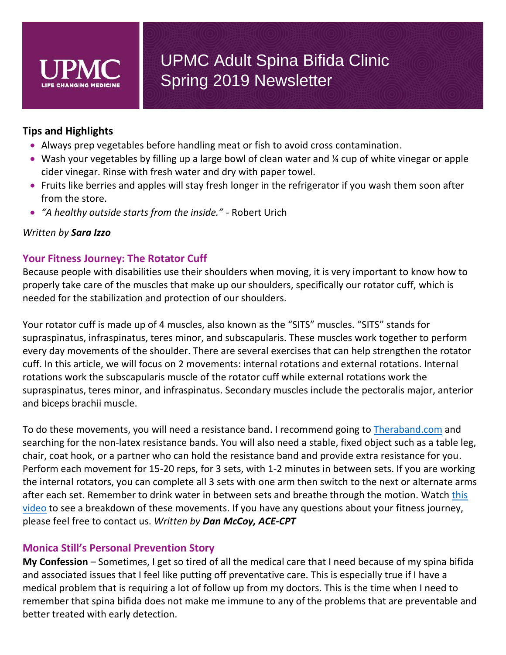

### **Tips and Highlights**

- Always prep vegetables before handling meat or fish to avoid cross contamination.
- Wash your vegetables by filling up a large bowl of clean water and % cup of white vinegar or apple cider vinegar. Rinse with fresh water and dry with paper towel.
- Fruits like berries and apples will stay fresh longer in the refrigerator if you wash them soon after from the store.
- *"A healthy outside starts from the inside." -* Robert Urich

#### *Written by Sara Izzo*

### **Your Fitness Journey: The Rotator Cuff**

Because people with disabilities use their shoulders when moving, it is very important to know how to properly take care of the muscles that make up our shoulders, specifically our rotator cuff, which is needed for the stabilization and protection of our shoulders.

Your rotator cuff is made up of 4 muscles, also known as the "SITS" muscles. "SITS" stands for supraspinatus, infraspinatus, teres minor, and subscapularis. These muscles work together to perform every day movements of the shoulder. There are several exercises that can help strengthen the rotator cuff. In this article, we will focus on 2 movements: internal rotations and external rotations. Internal rotations work the subscapularis muscle of the rotator cuff while external rotations work the supraspinatus, teres minor, and infraspinatus. Secondary muscles include the pectoralis major, anterior and biceps brachii muscle.

To do these movements, you will need a resistance band. I recommend going to [Theraband.com](http://www.theraband.com/products/resistance-bands-tubes/non-latex-resistance-bands.html) and searching for the non-latex resistance bands. You will also need a stable, fixed object such as a table leg, chair, coat hook, or a partner who can hold the resistance band and provide extra resistance for you. Perform each movement for 15-20 reps, for 3 sets, with 1-2 minutes in between sets. If you are working the internal rotators, you can complete all 3 sets with one arm then switch to the next or alternate arms after each set. Remember to drink water in between sets and breathe through the motion. Watch this [video](https://www.youtube.com/channel/UC8Fp1DipnMo9hawQhS8rmEw) to see a breakdown of these movements. If you have any questions about your fitness journey, please feel free to contact us. *Written by Dan McCoy, ACE-CPT*

#### **Monica Still's Personal Prevention Story**

**My Confession** – Sometimes, I get so tired of all the medical care that I need because of my spina bifida and associated issues that I feel like putting off preventative care. This is especially true if I have a medical problem that is requiring a lot of follow up from my doctors. This is the time when I need to remember that spina bifida does not make me immune to any of the problems that are preventable and better treated with early detection.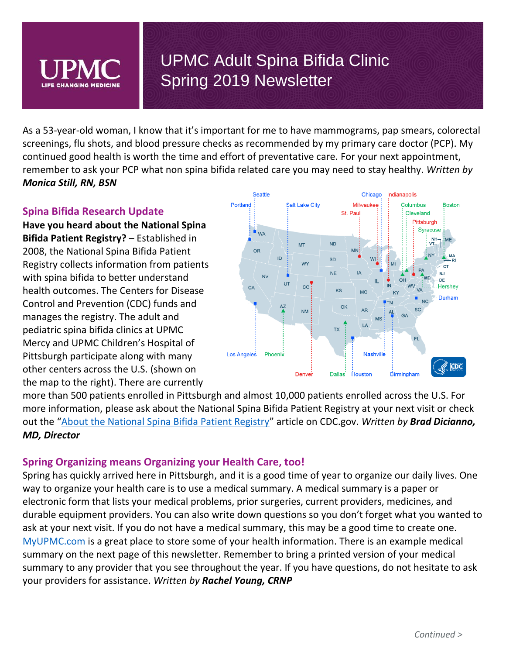As a 53-year-old woman, I know that it's important for me to have mammograms, pap smears, colorectal screenings, flu shots, and blood pressure checks as recommended by my primary care doctor (PCP). My continued good health is worth the time and effort of preventative care. For your next appointment, remember to ask your PCP what non spina bifida related care you may need to stay healthy. *Written by Monica Still, RN, BSN*

### **Spina Bifida Research Update**

**Have you heard about the National Spina Bifida Patient Registry?** – Established in 2008, the National Spina Bifida Patient Registry collects information from patients with spina bifida to better understand health outcomes. The Centers for Disease Control and Prevention (CDC) funds and manages the registry. The adult and pediatric spina bifida clinics at UPMC Mercy and UPMC Children's Hospital of Pittsburgh participate along with many other centers across the U.S. (shown on the map to the right). There are currently



more than 500 patients enrolled in Pittsburgh and almost 10,000 patients enrolled across the U.S. For more information, please ask about the National Spina Bifida Patient Registry at your next visit or check out the "[About the National Spina Bifida Patient Registry](https://www.cdc.gov/ncbddd/spinabifida/nsbprregistry.html)" article on CDC.gov. *Written by Brad Dicianno, MD, Director*

### **Spring Organizing means Organizing your Health Care, too!**

Spring has quickly arrived here in Pittsburgh, and it is a good time of year to organize our daily lives. One way to organize your health care is to use a medical summary. A medical summary is a paper or electronic form that lists your medical problems, prior surgeries, current providers, medicines, and durable equipment providers. You can also write down questions so you don't forget what you wanted to ask at your next visit. If you do not have a medical summary, this may be a good time to create one. [MyUPMC.com](https://myupmc.upmc.com/) is a great place to store some of your health information. There is an example medical summary on the next page of this newsletter. Remember to bring a printed version of your medical summary to any provider that you see throughout the year. If you have questions, do not hesitate to ask your providers for assistance. *Written by Rachel Young, CRNP*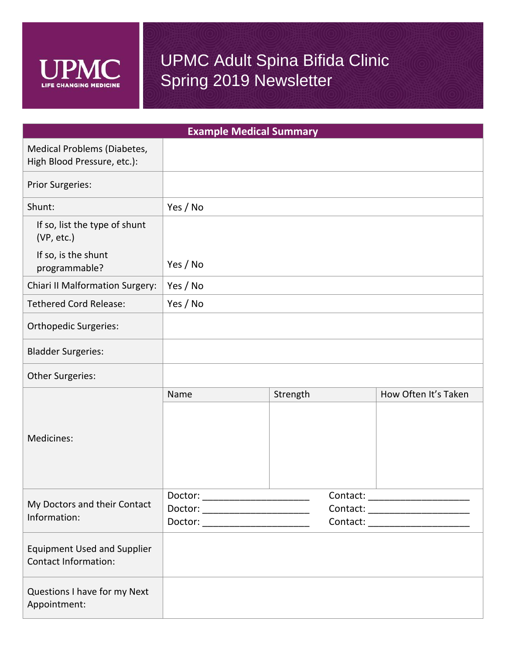

| <b>Example Medical Summary</b>                                    |                                                                      |          |                                                                    |                      |  |
|-------------------------------------------------------------------|----------------------------------------------------------------------|----------|--------------------------------------------------------------------|----------------------|--|
| Medical Problems (Diabetes,<br>High Blood Pressure, etc.):        |                                                                      |          |                                                                    |                      |  |
| <b>Prior Surgeries:</b>                                           |                                                                      |          |                                                                    |                      |  |
| Shunt:                                                            | Yes / No                                                             |          |                                                                    |                      |  |
| If so, list the type of shunt<br>(VP, etc.)                       |                                                                      |          |                                                                    |                      |  |
| If so, is the shunt<br>programmable?                              | Yes / No                                                             |          |                                                                    |                      |  |
| <b>Chiari II Malformation Surgery:</b>                            | Yes / No                                                             |          |                                                                    |                      |  |
| <b>Tethered Cord Release:</b>                                     | Yes / No                                                             |          |                                                                    |                      |  |
| <b>Orthopedic Surgeries:</b>                                      |                                                                      |          |                                                                    |                      |  |
| <b>Bladder Surgeries:</b>                                         |                                                                      |          |                                                                    |                      |  |
| Other Surgeries:                                                  |                                                                      |          |                                                                    |                      |  |
|                                                                   | Name                                                                 | Strength |                                                                    | How Often It's Taken |  |
| Medicines:                                                        |                                                                      |          |                                                                    |                      |  |
| My Doctors and their Contact<br>Information:                      |                                                                      |          | Contact: _______________________                                   |                      |  |
|                                                                   | Doctor: ________________________<br>Doctor: ________________________ |          | Contact: ______________________<br>Contact: ______________________ |                      |  |
| <b>Equipment Used and Supplier</b><br><b>Contact Information:</b> |                                                                      |          |                                                                    |                      |  |
| Questions I have for my Next<br>Appointment:                      |                                                                      |          |                                                                    |                      |  |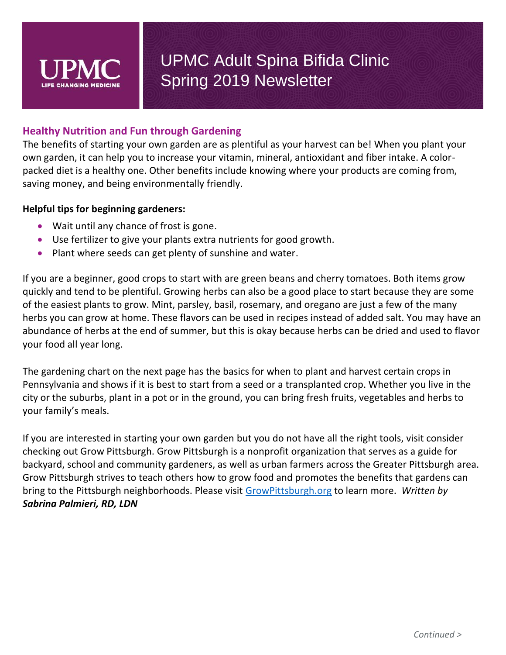

### **Healthy Nutrition and Fun through Gardening**

The benefits of starting your own garden are as plentiful as your harvest can be! When you plant your own garden, it can help you to increase your vitamin, mineral, antioxidant and fiber intake. A colorpacked diet is a healthy one. Other benefits include knowing where your products are coming from, saving money, and being environmentally friendly.

#### **Helpful tips for beginning gardeners:**

- Wait until any chance of frost is gone.
- Use fertilizer to give your plants extra nutrients for good growth.
- Plant where seeds can get plenty of sunshine and water.

If you are a beginner, good crops to start with are green beans and cherry tomatoes. Both items grow quickly and tend to be plentiful. Growing herbs can also be a good place to start because they are some of the easiest plants to grow. Mint, parsley, basil, rosemary, and oregano are just a few of the many herbs you can grow at home. These flavors can be used in recipes instead of added salt. You may have an abundance of herbs at the end of summer, but this is okay because herbs can be dried and used to flavor your food all year long.

The gardening chart on the next page has the basics for when to plant and harvest certain crops in Pennsylvania and shows if it is best to start from a seed or a transplanted crop. Whether you live in the city or the suburbs, plant in a pot or in the ground, you can bring fresh fruits, vegetables and herbs to your family's meals.

If you are interested in starting your own garden but you do not have all the right tools, visit consider checking out Grow Pittsburgh. Grow Pittsburgh is a nonprofit organization that serves as a guide for backyard, school and community gardeners, as well as urban farmers across the Greater Pittsburgh area. Grow Pittsburgh strives to teach others how to grow food and promotes the benefits that gardens can bring to the Pittsburgh neighborhoods. Please visit [GrowPittsburgh.org](https://www.growpittsburgh.org/) to learn more. *Written by Sabrina Palmieri, RD, LDN*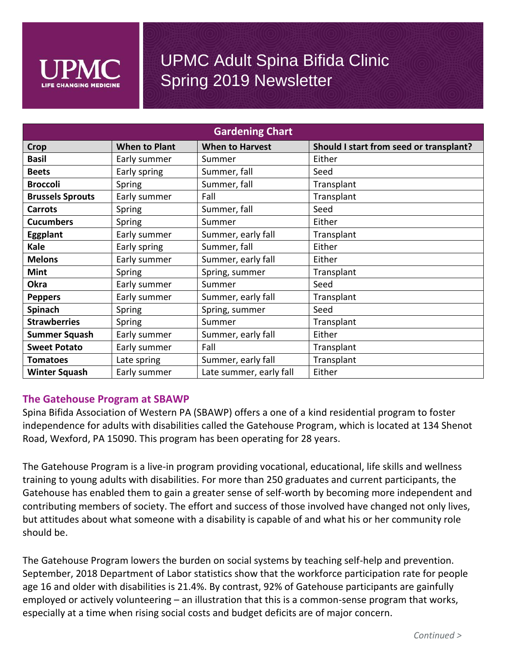

| <b>Gardening Chart</b>  |                      |                         |                                         |  |  |
|-------------------------|----------------------|-------------------------|-----------------------------------------|--|--|
| Crop                    | <b>When to Plant</b> | <b>When to Harvest</b>  | Should I start from seed or transplant? |  |  |
| <b>Basil</b>            | Early summer         | Summer                  | Either                                  |  |  |
| <b>Beets</b>            | Early spring         | Summer, fall            | Seed                                    |  |  |
| <b>Broccoli</b>         | Spring               | Summer, fall            | Transplant                              |  |  |
| <b>Brussels Sprouts</b> | Early summer         | Fall                    | Transplant                              |  |  |
| <b>Carrots</b>          | Spring               | Summer, fall            | Seed                                    |  |  |
| <b>Cucumbers</b>        | Spring               | Summer                  | Either                                  |  |  |
| <b>Eggplant</b>         | Early summer         | Summer, early fall      | Transplant                              |  |  |
| <b>Kale</b>             | Early spring         | Summer, fall            | Either                                  |  |  |
| <b>Melons</b>           | Early summer         | Summer, early fall      | Either                                  |  |  |
| <b>Mint</b>             | Spring               | Spring, summer          | Transplant                              |  |  |
| <b>Okra</b>             | Early summer         | Summer                  | Seed                                    |  |  |
| <b>Peppers</b>          | Early summer         | Summer, early fall      | Transplant                              |  |  |
| Spinach                 | Spring               | Spring, summer          | Seed                                    |  |  |
| <b>Strawberries</b>     | Spring               | Summer                  | Transplant                              |  |  |
| <b>Summer Squash</b>    | Early summer         | Summer, early fall      | Either                                  |  |  |
| <b>Sweet Potato</b>     | Early summer         | Fall                    | Transplant                              |  |  |
| <b>Tomatoes</b>         | Late spring          | Summer, early fall      | Transplant                              |  |  |
| <b>Winter Squash</b>    | Early summer         | Late summer, early fall | Either                                  |  |  |

#### **The Gatehouse Program at SBAWP**

Spina Bifida Association of Western PA (SBAWP) offers a one of a kind residential program to foster independence for adults with disabilities called the Gatehouse Program, which is located at 134 Shenot Road, Wexford, PA 15090. This program has been operating for 28 years.

The Gatehouse Program is a live-in program providing vocational, educational, life skills and wellness training to young adults with disabilities. For more than 250 graduates and current participants, the Gatehouse has enabled them to gain a greater sense of self-worth by becoming more independent and contributing members of society. The effort and success of those involved have changed not only lives, but attitudes about what someone with a disability is capable of and what his or her community role should be.

The Gatehouse Program lowers the burden on social systems by teaching self-help and prevention. September, 2018 Department of Labor statistics show that the workforce participation rate for people age 16 and older with disabilities is 21.4%. By contrast, 92% of Gatehouse participants are gainfully employed or actively volunteering – an illustration that this is a common-sense program that works, especially at a time when rising social costs and budget deficits are of major concern.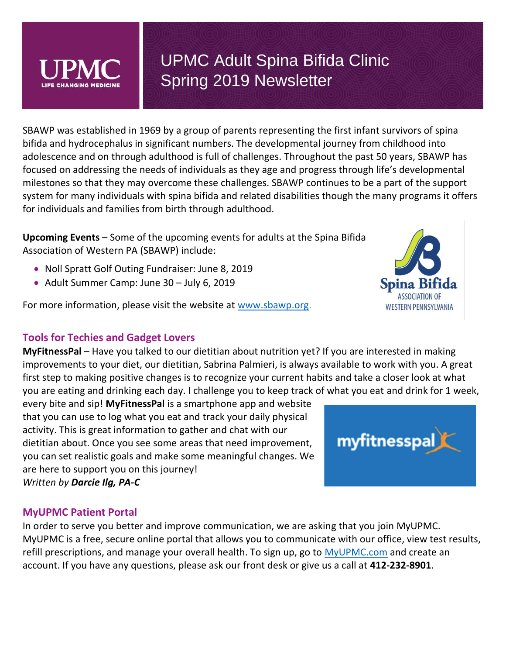SBAWP was established in 1969 by a group of parents representing the first infant survivors of spina bifida and hydrocephalus in significant numbers. The developmental journey from childhood into adolescence and on through adulthood is full of challenges. Throughout the past 50 years, SBAWP has focused on addressing the needs of individuals as they age and progress through life's developmental milestones so that they may overcome these challenges. SBAWP continues to be a part of the support system for many individuals with spina bifida and related disabilities though the many programs it offers for individuals and families from birth through adulthood.

**Upcoming Events** – Some of the upcoming events for adults at the Spina Bifida Association of Western PA (SBAWP) include:

- Noll Spratt Golf Outing Fundraiser: June 8, 2019
- Adult Summer Camp: June 30 July 6, 2019

For more information, please visit the website at [www.sbawp.org.](http://www.sbawp.org/)

## **Tools for Techies and Gadget Lovers**

**MyFitnessPal** – Have you talked to our dietitian about nutrition yet? If you are interested in making improvements to your diet, our dietitian, Sabrina Palmieri, is always available to work with you. A great first step to making positive changes is to recognize your current habits and take a closer look at what you are eating and drinking each day. I challenge you to keep track of what you eat and drink for 1 week,

every bite and sip! **MyFitnessPal** is a smartphone app and website that you can use to log what you eat and track your daily physical activity. This is great information to gather and chat with our dietitian about. Once you see some areas that need improvement, you can set realistic goals and make some meaningful changes. We are here to support you on this journey! *Written by Darcie Ilg, PA-C*

### **MyUPMC Patient Portal**

In order to serve you better and improve communication, we are asking that you join MyUPMC. MyUPMC is a free, secure online portal that allows you to communicate with our office, view test results, refill prescriptions, and manage your overall health. To sign up, go to [MyUPMC.com](https://myupmc.upmc.com/) and create an account. If you have any questions, please ask our front desk or give us a call at **412-232-8901**.